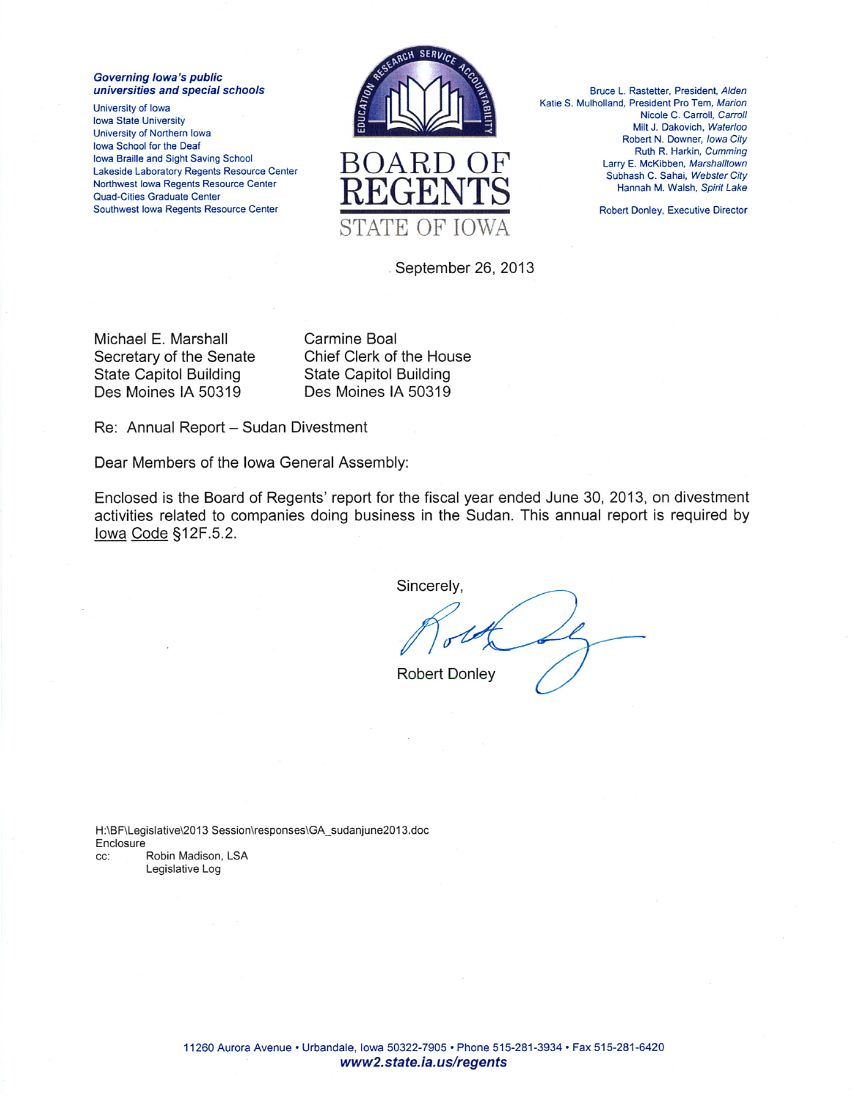**Governing lowa's public** universities and special schools

University of Iowa **Iowa State University** University of Northern Iowa Iowa School for the Deaf Iowa Braille and Sight Saving School Lakeside Laboratory Regents Resource Center Northwest Iowa Regents Resource Center **Quad-Cities Graduate Center** Southwest Iowa Regents Resource Center





Bruce L. Rastetter, President, Alden Katie S. Mulholland, President Pro Tem, Marion Nicole C. Carroll, Carroll Milt J. Dakovich, Waterloo Robert N. Downer, Iowa City Ruth R. Harkin, Cumming Larry E. McKibben, Marshalltown Subhash C. Sahai, Webster City Hannah M. Walsh, Spirit Lake

**Robert Donley, Executive Director** 

September 26, 2013

Michael E. Marshall Secretary of the Senate **State Capitol Building** Des Moines IA 50319

Carmine Boal Chief Clerk of the House **State Capitol Building** Des Moines IA 50319

Re: Annual Report - Sudan Divestment

Dear Members of the Iowa General Assembly:

Enclosed is the Board of Regents' report for the fiscal year ended June 30, 2013, on divestment activities related to companies doing business in the Sudan. This annual report is required by lowa Code §12F.5.2.

Sincerely,

**Robert Donley** 

H:\BF\Legislative\2013 Session\responses\GA\_sudanjune2013.doc Enclosure CC: Robin Madison, LSA Legislative Log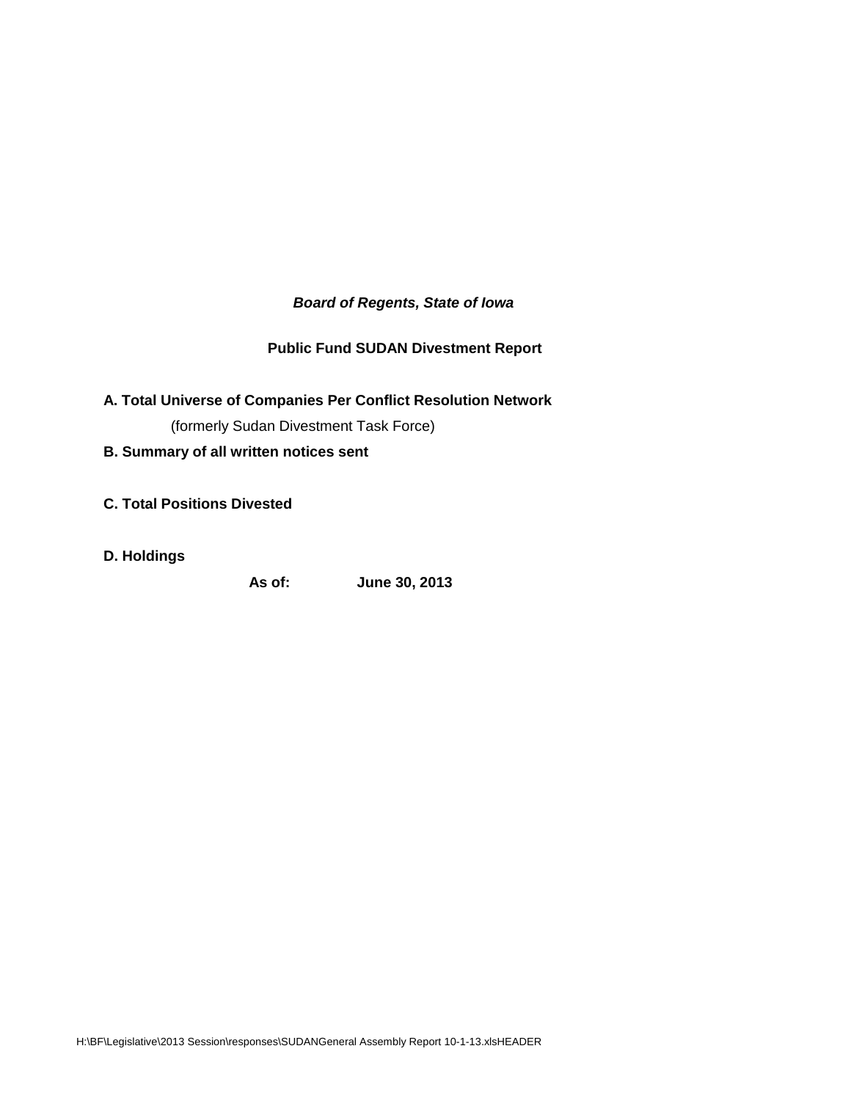# *Board of Regents, State of Iowa*

# **Public Fund SUDAN Divestment Report**

- **A. Total Universe of Companies Per Conflict Resolution Network**  (formerly Sudan Divestment Task Force)
- **B. Summary of all written notices sent**
- **C. Total Positions Divested**
- **D. Holdings**

**As of: June 30, 2013**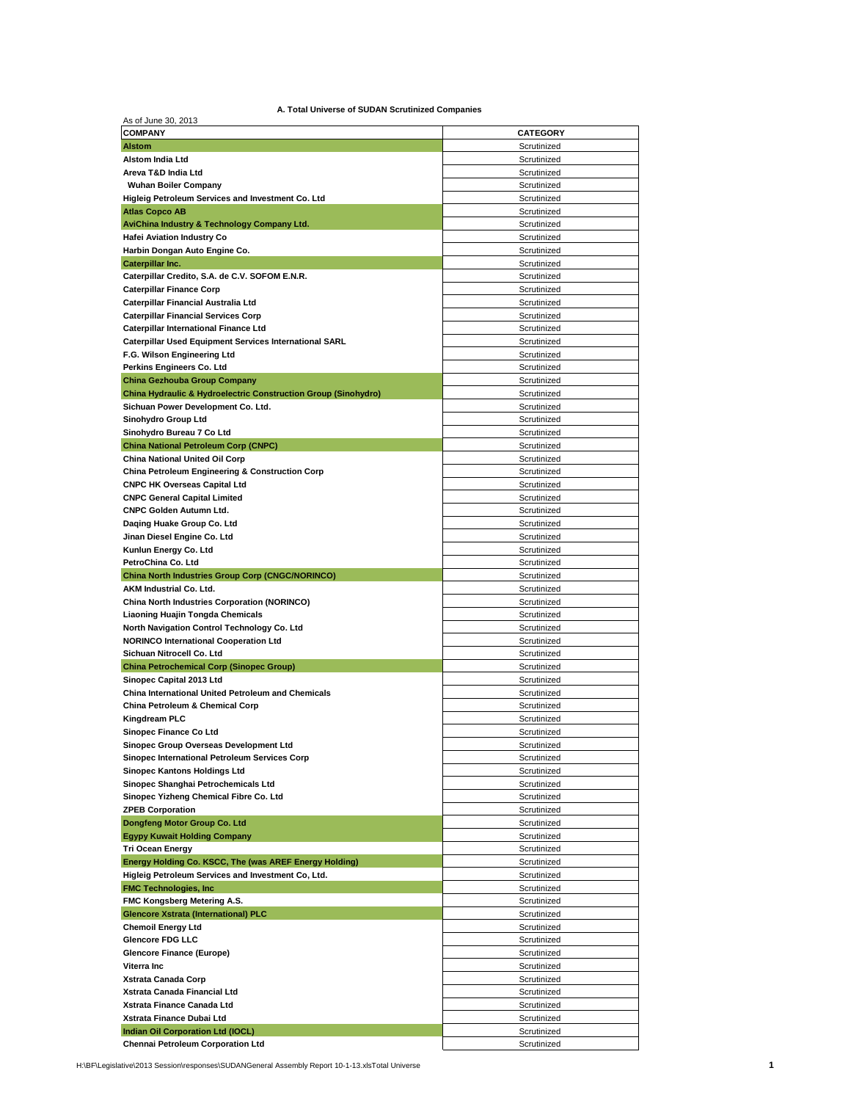| As of June 30, 2013                                                                  |                            |
|--------------------------------------------------------------------------------------|----------------------------|
| <b>COMPANY</b>                                                                       | <b>CATEGORY</b>            |
| <b>Alstom</b>                                                                        | Scrutinized                |
| <b>Alstom India Ltd</b>                                                              | Scrutinized                |
| Areva T&D India Ltd                                                                  | Scrutinized                |
| <b>Wuhan Boiler Company</b>                                                          | Scrutinized                |
| Higleig Petroleum Services and Investment Co. Ltd                                    | Scrutinized                |
| <b>Atlas Copco AB</b>                                                                | Scrutinized                |
| AviChina Industry & Technology Company Ltd.                                          | Scrutinized                |
| <b>Hafei Aviation Industry Co</b>                                                    | Scrutinized<br>Scrutinized |
| Harbin Dongan Auto Engine Co.<br>Caterpillar Inc.                                    | Scrutinized                |
| Caterpillar Credito, S.A. de C.V. SOFOM E.N.R.                                       | Scrutinized                |
| <b>Caterpillar Finance Corp</b>                                                      | Scrutinized                |
| Caterpillar Financial Australia Ltd                                                  | Scrutinized                |
| <b>Caterpillar Financial Services Corp</b>                                           | Scrutinized                |
| <b>Caterpillar International Finance Ltd</b>                                         | Scrutinized                |
| <b>Caterpillar Used Equipment Services International SARL</b>                        | Scrutinized                |
| F.G. Wilson Engineering Ltd                                                          | Scrutinized                |
| Perkins Engineers Co. Ltd                                                            | Scrutinized                |
| <b>China Gezhouba Group Company</b>                                                  | Scrutinized                |
| <b>China Hydraulic &amp; Hydroelectric Construction Group (Sinohydro)</b>            | Scrutinized                |
| Sichuan Power Development Co. Ltd.                                                   | Scrutinized                |
| Sinohydro Group Ltd                                                                  | Scrutinized                |
| Sinohydro Bureau 7 Co Ltd                                                            | Scrutinized                |
| <b>China National Petroleum Corp (CNPC)</b>                                          | Scrutinized                |
| China National United Oil Corp                                                       | Scrutinized                |
| <b>China Petroleum Engineering &amp; Construction Corp</b>                           | Scrutinized<br>Scrutinized |
| <b>CNPC HK Overseas Capital Ltd</b><br><b>CNPC General Capital Limited</b>           | Scrutinized                |
| <b>CNPC Golden Autumn Ltd.</b>                                                       | Scrutinized                |
| Daging Huake Group Co. Ltd                                                           | Scrutinized                |
| Jinan Diesel Engine Co. Ltd                                                          | Scrutinized                |
| Kunlun Energy Co. Ltd                                                                | Scrutinized                |
| PetroChina Co. Ltd                                                                   | Scrutinized                |
| <b>China North Industries Group Corp (CNGC/NORINCO)</b>                              | Scrutinized                |
| AKM Industrial Co. Ltd.                                                              | Scrutinized                |
| China North Industries Corporation (NORINCO)                                         | Scrutinized                |
| Liaoning Huajin Tongda Chemicals                                                     | Scrutinized                |
| North Navigation Control Technology Co. Ltd                                          | Scrutinized                |
|                                                                                      |                            |
| <b>NORINCO International Cooperation Ltd</b>                                         | Scrutinized                |
| Sichuan Nitrocell Co. Ltd                                                            | Scrutinized                |
| <b>China Petrochemical Corp (Sinopec Group)</b>                                      | Scrutinized                |
| Sinopec Capital 2013 Ltd                                                             | Scrutinized                |
| China International United Petroleum and Chemicals                                   | Scrutinized                |
| China Petroleum & Chemical Corp                                                      | Scrutinized                |
| Kingdream PLC                                                                        | Scrutinized                |
| Sinopec Finance Co Ltd                                                               | Scrutinized                |
| Sinopec Group Overseas Development Ltd                                               | Scrutinized                |
| Sinopec International Petroleum Services Corp<br><b>Sinopec Kantons Holdings Ltd</b> | Scrutinized<br>Scrutinized |
| Sinopec Shanghai Petrochemicals Ltd                                                  | Scrutinized                |
| Sinopec Yizheng Chemical Fibre Co. Ltd                                               | Scrutinized                |
| <b>ZPEB Corporation</b>                                                              | Scrutinized                |
| Dongfeng Motor Group Co. Ltd                                                         | Scrutinized                |
| <b>Egypy Kuwait Holding Company</b>                                                  | Scrutinized                |
| <b>Tri Ocean Energy</b>                                                              | Scrutinized                |
| Energy Holding Co. KSCC, The (was AREF Energy Holding)                               | Scrutinized                |
| Higleig Petroleum Services and Investment Co, Ltd.                                   | Scrutinized                |
| <b>FMC Technologies, Inc.</b>                                                        | Scrutinized                |
| FMC Kongsberg Metering A.S.                                                          | Scrutinized                |
| <b>Glencore Xstrata (International) PLC</b>                                          | Scrutinized                |
| <b>Chemoil Energy Ltd</b>                                                            | Scrutinized                |
| <b>Glencore FDG LLC</b>                                                              | Scrutinized                |
| <b>Glencore Finance (Europe)</b>                                                     | Scrutinized                |
| Viterra Inc                                                                          | Scrutinized                |
| Xstrata Canada Corp                                                                  | Scrutinized                |
| Xstrata Canada Financial Ltd<br>Xstrata Finance Canada Ltd                           | Scrutinized<br>Scrutinized |
| Xstrata Finance Dubai Ltd                                                            | Scrutinized                |
| Indian Oil Corporation Ltd (IOCL)                                                    | Scrutinized                |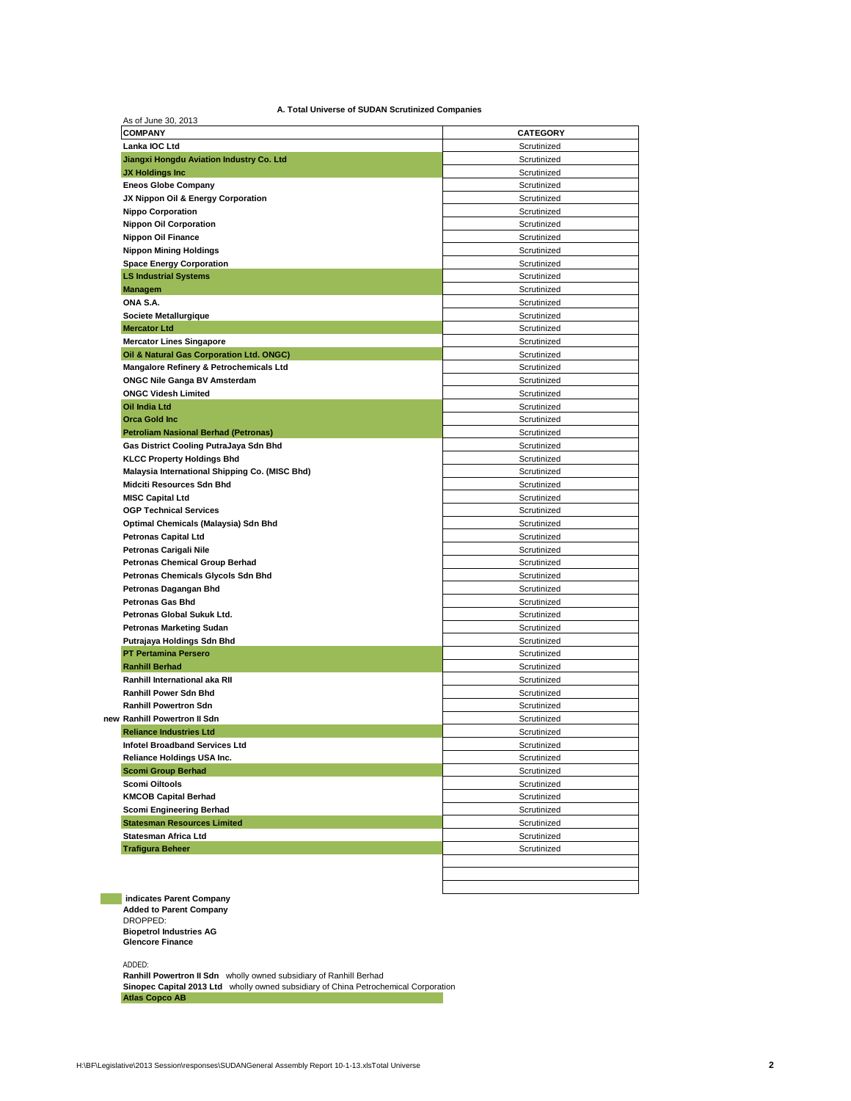| A. Total Universe of SUDAN Scrutinized Companies |  |
|--------------------------------------------------|--|
|--------------------------------------------------|--|

| Lanka IOC Ltd                                             |             |
|-----------------------------------------------------------|-------------|
|                                                           | Scrutinized |
| Jiangxi Hongdu Aviation Industry Co. Ltd                  | Scrutinized |
| <b>JX Holdings Inc.</b>                                   | Scrutinized |
| <b>Eneos Globe Company</b>                                | Scrutinized |
| JX Nippon Oil & Energy Corporation                        | Scrutinized |
| <b>Nippo Corporation</b>                                  | Scrutinized |
| <b>Nippon Oil Corporation</b>                             | Scrutinized |
| <b>Nippon Oil Finance</b>                                 | Scrutinized |
| <b>Nippon Mining Holdings</b>                             | Scrutinized |
| <b>Space Energy Corporation</b>                           | Scrutinized |
| <b>LS Industrial Systems</b>                              | Scrutinized |
| <b>Managem</b>                                            | Scrutinized |
| ONA S.A.                                                  | Scrutinized |
| Societe Metallurgique                                     | Scrutinized |
| <b>Mercator Ltd</b>                                       | Scrutinized |
| <b>Mercator Lines Singapore</b>                           | Scrutinized |
| Oil & Natural Gas Corporation Ltd. ONGC)                  | Scrutinized |
| Mangalore Refinery & Petrochemicals Ltd                   | Scrutinized |
| <b>ONGC Nile Ganga BV Amsterdam</b>                       | Scrutinized |
| <b>ONGC Videsh Limited</b>                                | Scrutinized |
| Oil India Ltd                                             | Scrutinized |
| <b>Orca Gold Inc.</b>                                     | Scrutinized |
| <b>Petroliam Nasional Berhad (Petronas)</b>               | Scrutinized |
| Gas District Cooling PutraJaya Sdn Bhd                    | Scrutinized |
| <b>KLCC Property Holdings Bhd</b>                         | Scrutinized |
| Malaysia International Shipping Co. (MISC Bhd)            | Scrutinized |
| Midciti Resources Sdn Bhd                                 | Scrutinized |
| <b>MISC Capital Ltd</b>                                   | Scrutinized |
| <b>OGP Technical Services</b>                             | Scrutinized |
| Optimal Chemicals (Malaysia) Sdn Bhd                      | Scrutinized |
| <b>Petronas Capital Ltd</b>                               | Scrutinized |
| Petronas Carigali Nile                                    | Scrutinized |
| <b>Petronas Chemical Group Berhad</b>                     | Scrutinized |
| Petronas Chemicals Glycols Sdn Bhd                        | Scrutinized |
| Petronas Dagangan Bhd                                     | Scrutinized |
| <b>Petronas Gas Bhd</b>                                   | Scrutinized |
| Petronas Global Sukuk Ltd.                                | Scrutinized |
|                                                           |             |
| <b>Petronas Marketing Sudan</b>                           | Scrutinized |
| Putrajaya Holdings Sdn Bhd<br><b>PT Pertamina Persero</b> | Scrutinized |
| <b>Ranhill Berhad</b>                                     | Scrutinized |
| Ranhill International aka RII                             | Scrutinized |
|                                                           | Scrutinized |
| <b>Ranhill Power Sdn Bhd</b>                              | Scrutinized |
| <b>Ranhill Powertron Sdn</b>                              | Scrutinized |
| new Ranhill Powertron II Sdn                              | Scrutinized |
| <b>Reliance Industries Ltd</b>                            | Scrutinized |
| Infotel Broadband Services Ltd                            | Scrutinized |
| Reliance Holdings USA Inc.                                | Scrutinized |
| <b>Scomi Group Berhad</b>                                 | Scrutinized |
| Scomi Oiltools                                            | Scrutinized |
| <b>KMCOB Capital Berhad</b>                               | Scrutinized |
| Scomi Engineering Berhad                                  | Scrutinized |
| <b>Statesman Resources Limited</b>                        | Scrutinized |
| Statesman Africa Ltd                                      | Scrutinized |
|                                                           |             |
| <b>Trafigura Beheer</b>                                   | Scrutinized |

 **indicates Parent Company Added to Parent Company** DROPPED: **Biopetrol Industries AG Glencore Finance**

ADDED:

**Ranhill Powertron II Sdn** wholly owned subsidiary of Ranhill Berhad **Sinopec Capital 2013 Ltd** wholly owned subsidiary of China Petrochemical Corporation **Atlas Copco AB**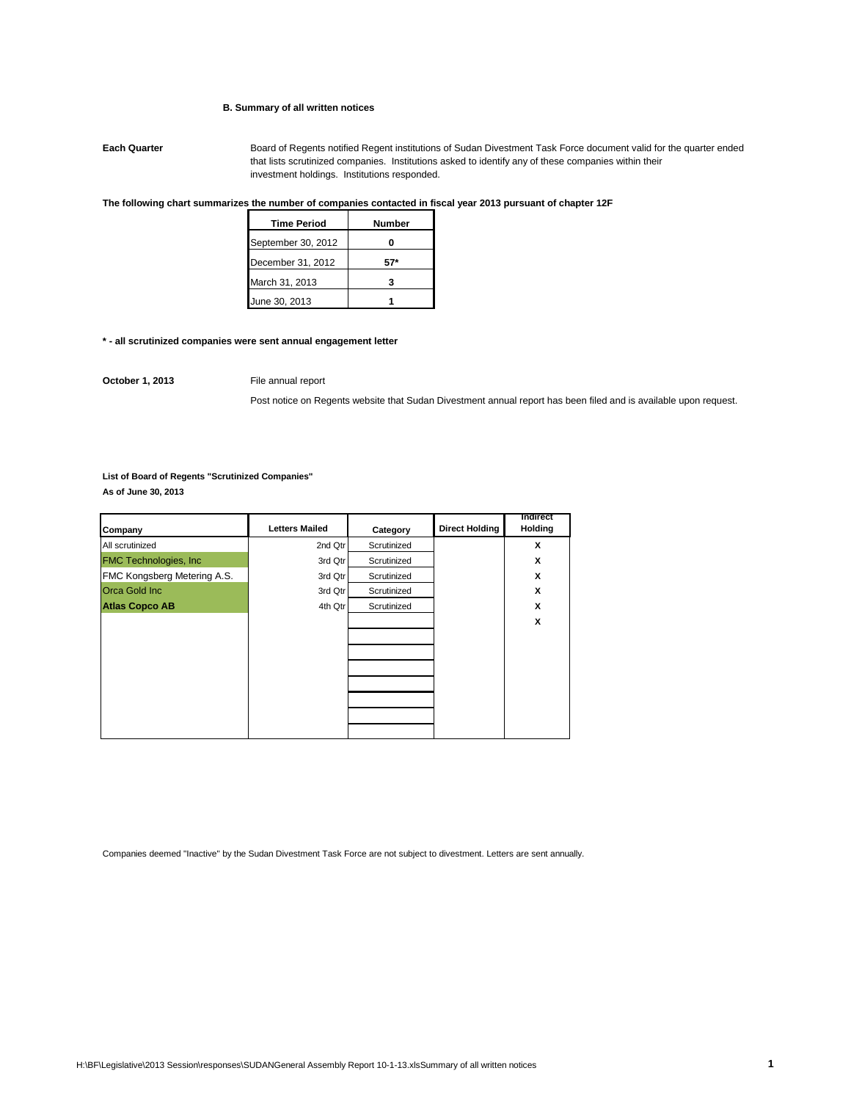### **B. Summary of all written notices**

**Each Quarter** Board of Regents notified Regent institutions of Sudan Divestment Task Force document valid for the quarter ended that lists scrutinized companies. Institutions asked to identify any of these companies within their investment holdings. Institutions responded.

### **The following chart summarizes the number of companies contacted in fiscal year 2013 pursuant of chapter 12F**

| <b>Time Period</b> | Number |
|--------------------|--------|
| September 30, 2012 |        |
| December 31, 2012  |        |
| March 31, 2013     |        |
| June 30, 2013      |        |

#### **\* - all scrutinized companies were sent annual engagement letter**

**October 1, 2013** File annual report

Post notice on Regents website that Sudan Divestment annual report has been filed and is available upon request.

**List of Board of Regents "Scrutinized Companies" As of June 30, 2013**

| Company                       | <b>Letters Mailed</b> | Category    | <b>Direct Holding</b> | Indirect<br>Holding |
|-------------------------------|-----------------------|-------------|-----------------------|---------------------|
| All scrutinized               | 2nd Qtr               | Scrutinized |                       | x                   |
| <b>FMC Technologies, Inc.</b> | 3rd Qtr               | Scrutinized |                       | X                   |
| FMC Kongsberg Metering A.S.   | 3rd Qtr               | Scrutinized |                       | X                   |
| <b>Orca Gold Inc.</b>         | 3rd Qtr               | Scrutinized |                       | X                   |
| <b>Atlas Copco AB</b>         | 4th Qtr               | Scrutinized |                       | X                   |
|                               |                       |             |                       | X                   |
|                               |                       |             |                       |                     |
|                               |                       |             |                       |                     |
|                               |                       |             |                       |                     |
|                               |                       |             |                       |                     |
|                               |                       |             |                       |                     |
|                               |                       |             |                       |                     |
|                               |                       |             |                       |                     |

Companies deemed "Inactive" by the Sudan Divestment Task Force are not subject to divestment. Letters are sent annually.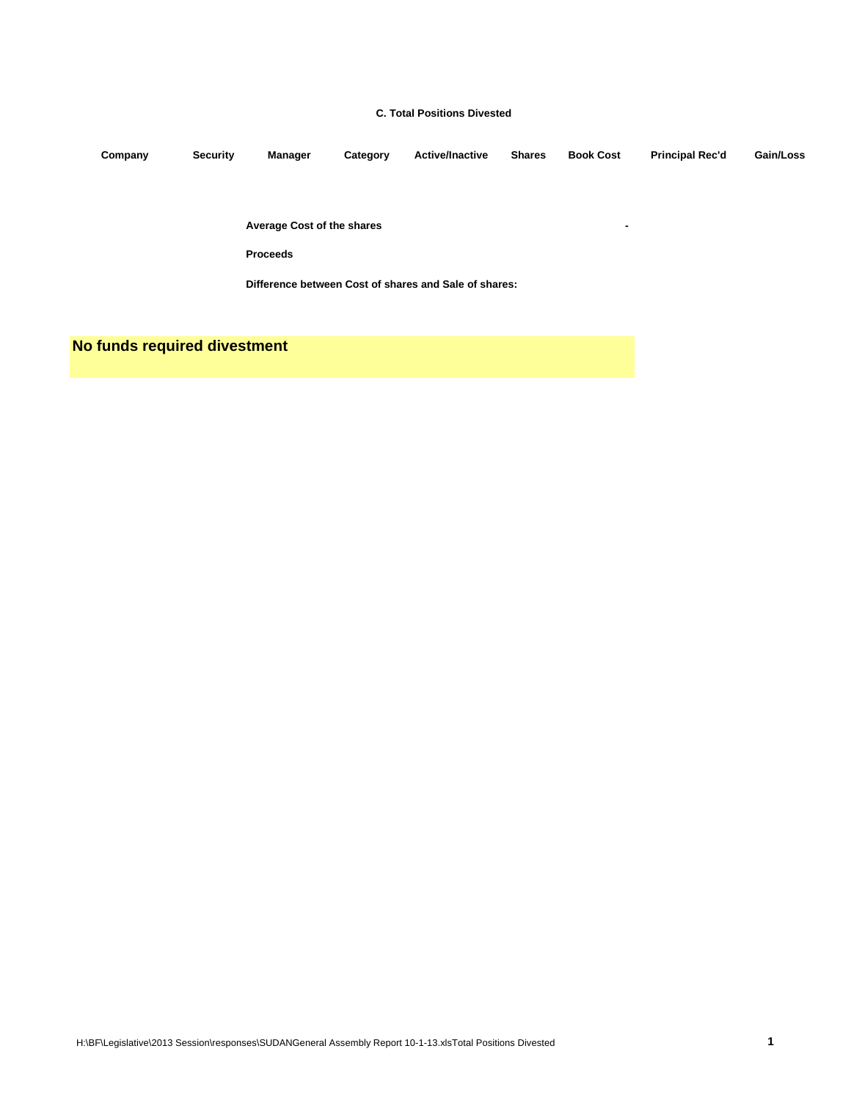### **C. Total Positions Divested**

**Company Security Manager Category Active/Inactive Shares Book Cost Principal Rec'd Gain/Loss**

**Average Cost of the shares -**

**Proceeds**

**Difference between Cost of shares and Sale of shares:**

**No funds required divestment**